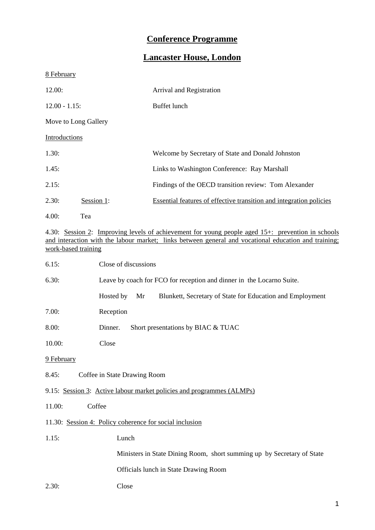# **Conference Programme**

# **Lancaster House, London**

8 February

| 12.00:               |            | Arrival and Registration                                            |  |
|----------------------|------------|---------------------------------------------------------------------|--|
| $12.00 - 1.15$ :     |            | <b>Buffet</b> lunch                                                 |  |
| Move to Long Gallery |            |                                                                     |  |
| Introductions        |            |                                                                     |  |
| 1.30:                |            | Welcome by Secretary of State and Donald Johnston                   |  |
| 1.45:                |            | Links to Washington Conference: Ray Marshall                        |  |
| 2.15:                |            | Findings of the OECD transition review: Tom Alexander               |  |
| 2.30:                | Session 1: | Essential features of effective transition and integration policies |  |
| 4.00:                | Tea        |                                                                     |  |

4.30: Session 2: Improving levels of achievement for young people aged 15+: prevention in schools and interaction with the labour market; links between general and vocational education and training; work-based training

| 6.15:                                 | Close of discussions                                                         |  |  |
|---------------------------------------|------------------------------------------------------------------------------|--|--|
| 6.30:                                 | Leave by coach for FCO for reception and dinner in the Locarno Suite.        |  |  |
|                                       | Hosted by<br>Blunkett, Secretary of State for Education and Employment<br>Mr |  |  |
| 7.00:                                 | Reception                                                                    |  |  |
| 8.00:                                 | Short presentations by BIAC & TUAC<br>Dinner.                                |  |  |
| 10.00:                                | Close                                                                        |  |  |
| 9 February                            |                                                                              |  |  |
| Coffee in State Drawing Room<br>8.45: |                                                                              |  |  |
|                                       | 9.15: Session 3: Active labour market policies and programmes (ALMPs)        |  |  |
| 11.00:<br>Coffee                      |                                                                              |  |  |
|                                       | 11.30: Session 4: Policy coherence for social inclusion                      |  |  |
| 1.15:                                 | Lunch                                                                        |  |  |
|                                       | Ministers in State Dining Room, short summing up by Secretary of State       |  |  |
|                                       | Officials lunch in State Drawing Room                                        |  |  |
| 2.30:                                 | Close                                                                        |  |  |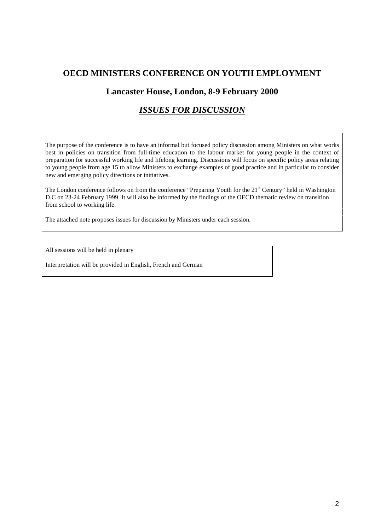# **OECD MINISTERS CONFERENCE ON YOUTH EMPLOYMENT**

# **Lancaster House, London, 8-9 February 2000**

# *ISSUES FOR DISCUSSION*

The purpose of the conference is to have an informal but focused policy discussion among Ministers on what works best in policies on transition from full-time education to the labour market for young people in the context of preparation for successful working life and lifelong learning. Discussions will focus on specific policy areas relating to young people from age 15 to allow Ministers to exchange examples of good practice and in particular to consider new and emerging policy directions or initiatives.

The London conference follows on from the conference "Preparing Youth for the 21<sup>st</sup> Century" held in Washington D.C on 23-24 February 1999. It will also be informed by the findings of the OECD thematic review on transition from school to working life.

The attached note proposes issues for discussion by Ministers under each session.

All sessions will be held in plenary

Interpretation will be provided in English, French and German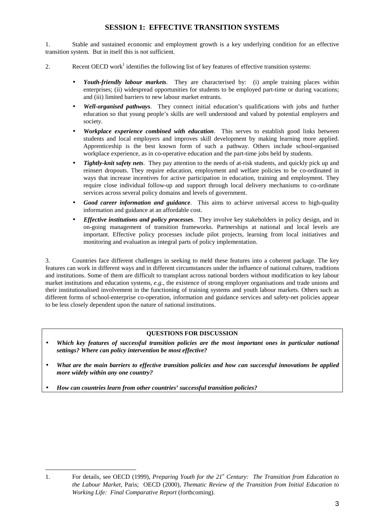## **SESSION 1: EFFECTIVE TRANSITION SYSTEMS**

1. Stable and sustained economic and employment growth is a key underlying condition for an effective transition system. But in itself this is not sufficient.

- 2. Recent OECD work<sup>1</sup> identifies the following list of key features of effective transition systems:
	- *Youth-friendly labour markets*. They are characterised by: (i) ample training places within enterprises; (ii) widespread opportunities for students to be employed part-time or during vacations; and (iii) limited barriers to new labour market entrants.
	- *Well-organised pathways*. They connect initial education's qualifications with jobs and further education so that young people's skills are well understood and valued by potential employers and society.
	- *Workplace experience combined with education*. This serves to establish good links between students and local employers and improves skill development by making learning more applied. Apprenticeship is the best known form of such a pathway. Others include school-organised workplace experience, as in co-operative education and the part-time jobs held by students.
	- *Tightly-knit safety nets*. They pay attention to the needs of at-risk students, and quickly pick up and reinsert dropouts. They require education, employment and welfare policies to be co-ordinated in ways that increase incentives for active participation in education, training and employment. They require close individual follow-up and support through local delivery mechanisms to co-ordinate services across several policy domains and levels of government.
	- *Good career information and guidance*. This aims to achieve universal access to high-quality information and guidance at an affordable cost.
	- *Effective institutions and policy processes*. They involve key stakeholders in policy design, and in on-going management of transition frameworks. Partnerships at national and local levels are important. Effective policy processes include pilot projects, learning from local initiatives and monitoring and evaluation as integral parts of policy implementation.

3. Countries face different challenges in seeking to meld these features into a coherent package. The key features can work in different ways and in different circumstances under the influence of national cultures, traditions and institutions. Some of them are difficult to transplant across national borders without modification to key labour market institutions and education systems, *e.g.*, the existence of strong employer organisations and trade unions and their institutionalised involvement in the functioning of training systems and youth labour markets. Others such as different forms of school-enterprise co-operation, information and guidance services and safety-net policies appear to be less closely dependent upon the nature of national institutions.

#### **QUESTIONS FOR DISCUSSION**

- *Which key features of successful transition policies are the most important ones in particular national settings? Where can policy intervention be most effective?*
- *What are the main barriers to effective transition policies and how can successful innovations be applied more widely within any one country?*
- *How can countries learn from other countries' successful transition policies?*

3

<sup>1.</sup> For details, see OECD (1999), *Preparing Youth for the 21<sup>st</sup> Century: The Transition from Education to the Labour Market*, Paris; OECD (2000), *Thematic Review of the Transition from Initial Education to Working Life: Final Comparative Report* (forthcoming).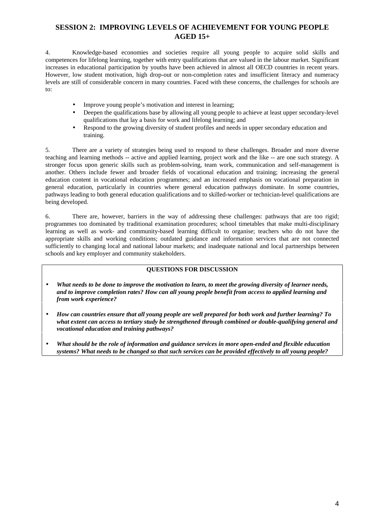### **SESSION 2: IMPROVING LEVELS OF ACHIEVEMENT FOR YOUNG PEOPLE AGED 15+**

4. Knowledge-based economies and societies require all young people to acquire solid skills and competences for lifelong learning, together with entry qualifications that are valued in the labour market. Significant increases in educational participation by youths have been achieved in almost all OECD countries in recent years. However, low student motivation, high drop-out or non-completion rates and insufficient literacy and numeracy levels are still of considerable concern in many countries. Faced with these concerns, the challenges for schools are to:

- Improve young people's motivation and interest in learning;
- Deepen the qualifications base by allowing all young people to achieve at least upper secondary-level qualifications that lay a basis for work and lifelong learning; and
- Respond to the growing diversity of student profiles and needs in upper secondary education and training.

5. There are a variety of strategies being used to respond to these challenges. Broader and more diverse teaching and learning methods -- active and applied learning, project work and the like -- are one such strategy. A stronger focus upon generic skills such as problem-solving, team work, communication and self-management is another. Others include fewer and broader fields of vocational education and training; increasing the general education content in vocational education programmes; and an increased emphasis on vocational preparation in general education, particularly in countries where general education pathways dominate. In some countries, pathways leading to both general education qualifications and to skilled-worker or technician-level qualifications are being developed.

6. There are, however, barriers in the way of addressing these challenges: pathways that are too rigid; programmes too dominated by traditional examination procedures; school timetables that make multi-disciplinary learning as well as work- and community-based learning difficult to organise; teachers who do not have the appropriate skills and working conditions; outdated guidance and information services that are not connected sufficiently to changing local and national labour markets; and inadequate national and local partnerships between schools and key employer and community stakeholders.

#### **QUESTIONS FOR DISCUSSION**

- *What needs to be done to improve the motivation to learn, to meet the growing diversity of learner needs, and to improve completion rates? How can all young people benefit from access to applied learning and from work experience?*
- *How can countries ensure that all young people are well prepared for both work and further learning? To what extent can access to tertiary study be strengthened through combined or double-qualifying general and vocational education and training pathways?*
- *What should be the role of information and guidance services in more open-ended and flexible education systems? What needs to be changed so that such services can be provided effectively to all young people?*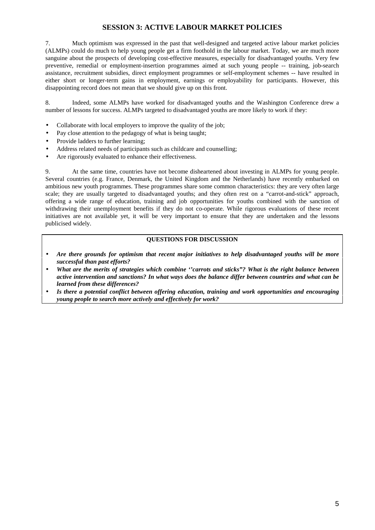## **SESSION 3: ACTIVE LABOUR MARKET POLICIES**

7. Much optimism was expressed in the past that well-designed and targeted active labour market policies (ALMPs) could do much to help young people get a firm foothold in the labour market. Today, we are much more sanguine about the prospects of developing cost-effective measures, especially for disadvantaged youths. Very few preventive, remedial or employment-insertion programmes aimed at such young people -- training, job-search assistance, recruitment subsidies, direct employment programmes or self-employment schemes -- have resulted in either short or longer-term gains in employment, earnings or employability for participants. However, this disappointing record does not mean that we should give up on this front.

8. Indeed, some ALMPs have worked for disadvantaged youths and the Washington Conference drew a number of lessons for success. ALMPs targeted to disadvantaged youths are more likely to work if they:

- Collaborate with local employers to improve the quality of the job;
- Pay close attention to the pedagogy of what is being taught;
- Provide ladders to further learning;
- Address related needs of participants such as childcare and counselling;
- Are rigorously evaluated to enhance their effectiveness.

9. At the same time, countries have not become disheartened about investing in ALMPs for young people. Several countries (e.g. France, Denmark, the United Kingdom and the Netherlands) have recently embarked on ambitious new youth programmes. These programmes share some common characteristics: they are very often large scale; they are usually targeted to disadvantaged youths; and they often rest on a "carrot-and-stick" approach, offering a wide range of education, training and job opportunities for youths combined with the sanction of withdrawing their unemployment benefits if they do not co-operate. While rigorous evaluations of these recent initiatives are not available yet, it will be very important to ensure that they are undertaken and the lessons publicised widely.

#### **QUESTIONS FOR DISCUSSION**

- *Are there grounds for optimism that recent major initiatives to help disadvantaged youths will be more successful than past efforts?*
- *What are the merits of strategies which combine ''carrots and sticks"? What is the right balance between active intervention and sanctions? In what ways does the balance differ between countries and what can be learned from these differences?*
- *Is there a potential conflict between offering education, training and work opportunities and encouraging young people to search more actively and effectively for work?*